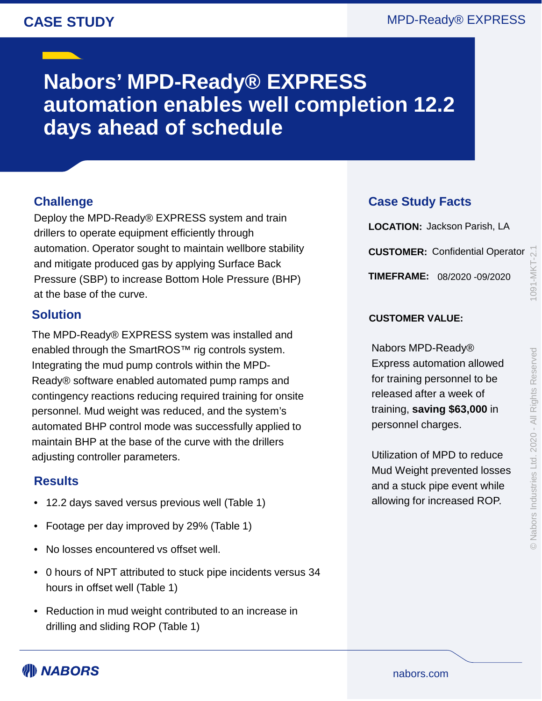## **CASE STUDY**

## MPD-Ready® EXPRESS

# **Nabors' MPD-Ready® EXPRESS automation enables well completion 12.2 days ahead of schedule**

### **Challenge**

Deploy the MPD-Ready® EXPRESS system and train drillers to operate equipment efficiently through automation. Operator sought to maintain wellbore stability and mitigate produced gas by applying Surface Back Pressure (SBP) to increase Bottom Hole Pressure (BHP) at the base of the curve.

#### **Solution**

The MPD-Ready® EXPRESS system was installed and enabled through the SmartROS™ rig controls system. Integrating the mud pump controls within the MPD-Ready® software enabled automated pump ramps and contingency reactions reducing required training for onsite personnel. Mud weight was reduced, and the system's automated BHP control mode was successfully applied to maintain BHP at the base of the curve with the drillers adjusting controller parameters.

#### **Results**

- 12.2 days saved versus previous well (Table 1)
- Footage per day improved by 29% (Table 1)
- No losses encountered vs offset well.
- 0 hours of NPT attributed to stuck pipe incidents versus 34 hours in offset well (Table 1)
- Reduction in mud weight contributed to an increase in drilling and sliding ROP (Table 1)

#### **Case Study Facts**

**LOCATION:** Jackson Parish, LA **CUSTOMER:** Confidential Operator **TIMEFRAME:** 08/2020 -09/2020

#### **CUSTOMER VALUE:**

Nabors MPD-Ready® Express automation allowed for training personnel to be released after a week of training, **saving \$63,000** in personnel charges.

Utilization of MPD to reduce Mud Weight prevented losses and a stuck pipe event while allowing for increased ROP.

WI) NABORS

nabors.com